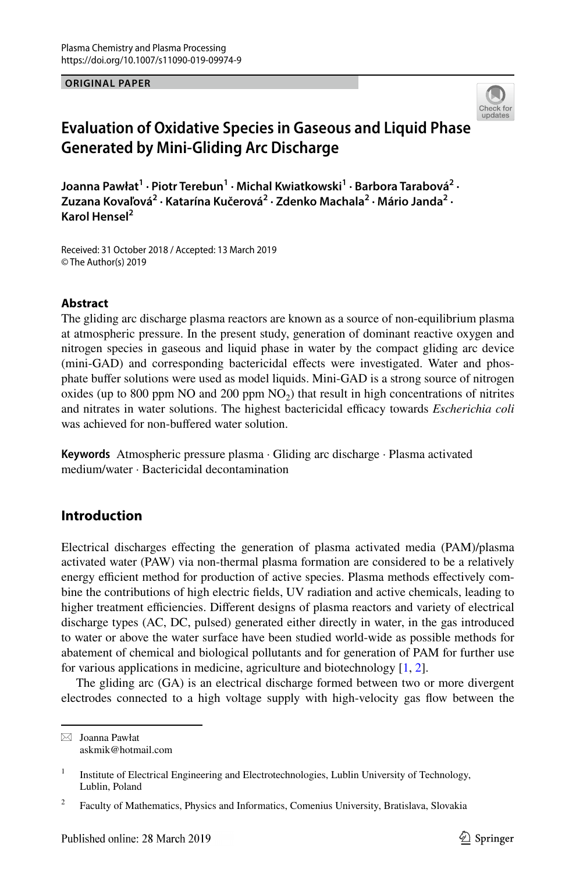**ORIGINAL PAPER**



# **Evaluation of Oxidative Species in Gaseous and Liquid Phase Generated by Mini‑Gliding Arc Discharge**

**Joanna Pawłat<sup>1</sup> · Piotr Terebun1 · Michal Kwiatkowski<sup>1</sup> · Barbora Tarabová2 ·**  Zuzana Kovaľová<sup>2</sup> • Katarína Kučerová<sup>2</sup> • Zdenko Machala<sup>2</sup> • Mário Janda<sup>2</sup> • **Karol Hensel2**

Received: 31 October 2018 / Accepted: 13 March 2019 © The Author(s) 2019

### **Abstract**

The gliding arc discharge plasma reactors are known as a source of non-equilibrium plasma at atmospheric pressure. In the present study, generation of dominant reactive oxygen and nitrogen species in gaseous and liquid phase in water by the compact gliding arc device (mini-GAD) and corresponding bactericidal effects were investigated. Water and phosphate bufer solutions were used as model liquids. Mini-GAD is a strong source of nitrogen oxides (up to 800 ppm NO and 200 ppm  $NO<sub>2</sub>$ ) that result in high concentrations of nitrites and nitrates in water solutions. The highest bactericidal efficacy towards *Escherichia coli* was achieved for non-buffered water solution.

**Keywords** Atmospheric pressure plasma · Gliding arc discharge · Plasma activated medium/water · Bactericidal decontamination

# **Introduction**

Electrical discharges efecting the generation of plasma activated media (PAM)/plasma activated water (PAW) via non-thermal plasma formation are considered to be a relatively energy efficient method for production of active species. Plasma methods effectively combine the contributions of high electric felds, UV radiation and active chemicals, leading to higher treatment efficiencies. Different designs of plasma reactors and variety of electrical discharge types (AC, DC, pulsed) generated either directly in water, in the gas introduced to water or above the water surface have been studied world-wide as possible methods for abatement of chemical and biological pollutants and for generation of PAM for further use for various applications in medicine, agriculture and biotechnology [\[1](#page-13-0), [2\]](#page-13-1).

The gliding arc (GA) is an electrical discharge formed between two or more divergent electrodes connected to a high voltage supply with high-velocity gas fow between the

 $\boxtimes$  Joanna Pawłat askmik@hotmail.com

<sup>&</sup>lt;sup>1</sup> Institute of Electrical Engineering and Electrotechnologies, Lublin University of Technology, Lublin, Poland

<sup>&</sup>lt;sup>2</sup> Faculty of Mathematics, Physics and Informatics, Comenius University, Bratislava, Slovakia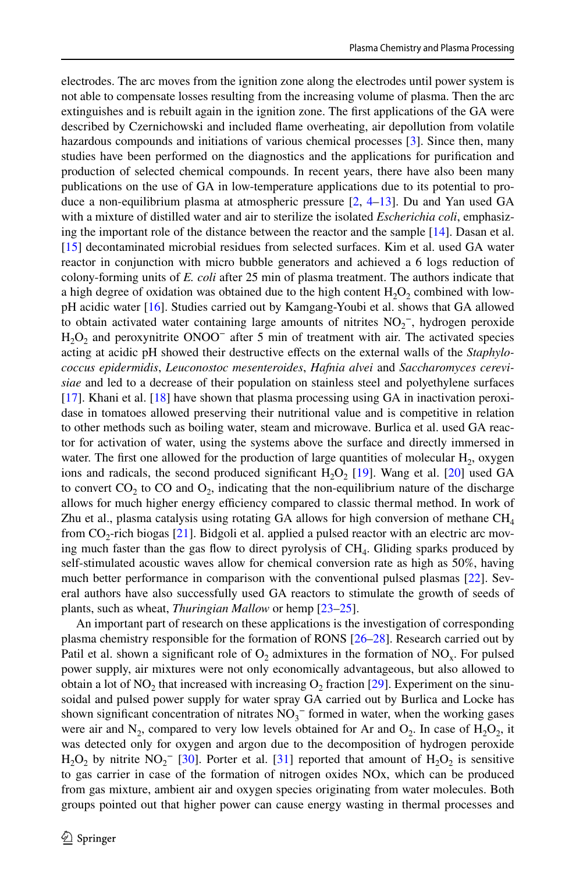electrodes. The arc moves from the ignition zone along the electrodes until power system is not able to compensate losses resulting from the increasing volume of plasma. Then the arc extinguishes and is rebuilt again in the ignition zone. The frst applications of the GA were described by Czernichowski and included fame overheating, air depollution from volatile hazardous compounds and initiations of various chemical processes [\[3\]](#page-13-2). Since then, many studies have been performed on the diagnostics and the applications for purifcation and production of selected chemical compounds. In recent years, there have also been many publications on the use of GA in low-temperature applications due to its potential to produce a non-equilibrium plasma at atmospheric pressure  $[2, 4-13]$  $[2, 4-13]$  $[2, 4-13]$  $[2, 4-13]$ . Du and Yan used GA with a mixture of distilled water and air to sterilize the isolated *Escherichia coli*, emphasizing the important role of the distance between the reactor and the sample [\[14\]](#page-13-5). Dasan et al. [[15](#page-13-6)] decontaminated microbial residues from selected surfaces. Kim et al. used GA water reactor in conjunction with micro bubble generators and achieved a 6 logs reduction of colony-forming units of *E. coli* after 25 min of plasma treatment. The authors indicate that a high degree of oxidation was obtained due to the high content  $H_2O_2$  combined with lowpH acidic water [\[16\]](#page-13-7). Studies carried out by Kamgang-Youbi et al. shows that GA allowed to obtain activated water containing large amounts of nitrites  $NO<sub>2</sub><sup>-</sup>$ , hydrogen peroxide  $H_2O_2$  and peroxynitrite ONOO<sup>-</sup> after 5 min of treatment with air. The activated species acting at acidic pH showed their destructive efects on the external walls of the *Staphylococcus epidermidis*, *Leuconostoc mesenteroides*, *Hafnia alvei* and *Saccharomyces cerevisiae* and led to a decrease of their population on stainless steel and polyethylene surfaces [[17](#page-14-0)]. Khani et al. [\[18\]](#page-14-1) have shown that plasma processing using GA in inactivation peroxidase in tomatoes allowed preserving their nutritional value and is competitive in relation to other methods such as boiling water, steam and microwave. Burlica et al. used GA reactor for activation of water, using the systems above the surface and directly immersed in water. The first one allowed for the production of large quantities of molecular  $H<sub>2</sub>$ , oxygen ions and radicals, the second produced significant  $H_2O_2$  [\[19\]](#page-14-2). Wang et al. [\[20\]](#page-14-3) used GA to convert  $CO_2$  to  $CO$  and  $O_2$ , indicating that the non-equilibrium nature of the discharge allows for much higher energy efficiency compared to classic thermal method. In work of Zhu et al., plasma catalysis using rotating GA allows for high conversion of methane  $CH<sub>4</sub>$ from  $CO<sub>2</sub>$ -rich biogas [[21](#page-14-4)]. Bidgoli et al. applied a pulsed reactor with an electric arc moving much faster than the gas flow to direct pyrolysis of  $CH<sub>4</sub>$ . Gliding sparks produced by self-stimulated acoustic waves allow for chemical conversion rate as high as 50%, having much better performance in comparison with the conventional pulsed plasmas [\[22\]](#page-14-5). Several authors have also successfully used GA reactors to stimulate the growth of seeds of plants, such as wheat, *Thuringian Mallow* or hemp [\[23–](#page-14-6)[25\]](#page-14-7).

An important part of research on these applications is the investigation of corresponding plasma chemistry responsible for the formation of RONS [\[26–](#page-14-8)[28](#page-14-9)]. Research carried out by Patil et al. shown a significant role of  $O_2$  admixtures in the formation of NO<sub>x</sub>. For pulsed power supply, air mixtures were not only economically advantageous, but also allowed to obtain a lot of NO<sub>2</sub> that increased with increasing  $O_2$  fraction [[29](#page-14-10)]. Experiment on the sinusoidal and pulsed power supply for water spray GA carried out by Burlica and Locke has shown significant concentration of nitrates  $NO<sub>3</sub><sup>-</sup>$  formed in water, when the working gases were air and  $N_2$ , compared to very low levels obtained for Ar and  $O_2$ . In case of  $H_2O_2$ , it was detected only for oxygen and argon due to the decomposition of hydrogen peroxide  $H_2O_2$  by nitrite  $NO_2^-$  [[30](#page-14-11)]. Porter et al. [\[31\]](#page-14-12) reported that amount of  $H_2O_2$  is sensitive to gas carrier in case of the formation of nitrogen oxides NOx, which can be produced from gas mixture, ambient air and oxygen species originating from water molecules. Both groups pointed out that higher power can cause energy wasting in thermal processes and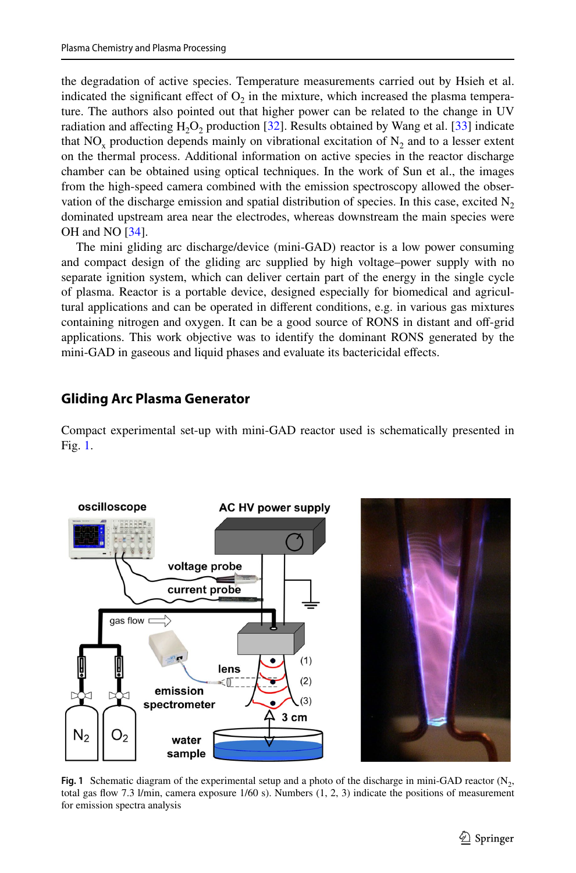the degradation of active species. Temperature measurements carried out by Hsieh et al. indicated the significant effect of  $O<sub>2</sub>$  in the mixture, which increased the plasma temperature. The authors also pointed out that higher power can be related to the change in UV radiation and affecting  $H_2O_2$  production [\[32\]](#page-14-13). Results obtained by Wang et al. [\[33\]](#page-14-14) indicate that  $NO<sub>x</sub>$  production depends mainly on vibrational excitation of  $N<sub>2</sub>$  and to a lesser extent on the thermal process. Additional information on active species in the reactor discharge chamber can be obtained using optical techniques. In the work of Sun et al., the images from the high-speed camera combined with the emission spectroscopy allowed the observation of the discharge emission and spatial distribution of species. In this case, excited  $N<sub>2</sub>$ dominated upstream area near the electrodes, whereas downstream the main species were OH and NO [\[34\]](#page-14-15).

The mini gliding arc discharge/device (mini-GAD) reactor is a low power consuming and compact design of the gliding arc supplied by high voltage–power supply with no separate ignition system, which can deliver certain part of the energy in the single cycle of plasma. Reactor is a portable device, designed especially for biomedical and agricultural applications and can be operated in diferent conditions, e.g. in various gas mixtures containing nitrogen and oxygen. It can be a good source of RONS in distant and off-grid applications. This work objective was to identify the dominant RONS generated by the mini-GAD in gaseous and liquid phases and evaluate its bactericidal effects.

# **Gliding Arc Plasma Generator**

Compact experimental set-up with mini-GAD reactor used is schematically presented in Fig. [1.](#page-2-0)



<span id="page-2-0"></span>**Fig. 1** Schematic diagram of the experimental setup and a photo of the discharge in mini-GAD reactor  $(N_2,$ total gas fow 7.3 l/min, camera exposure 1/60 s). Numbers (1, 2, 3) indicate the positions of measurement for emission spectra analysis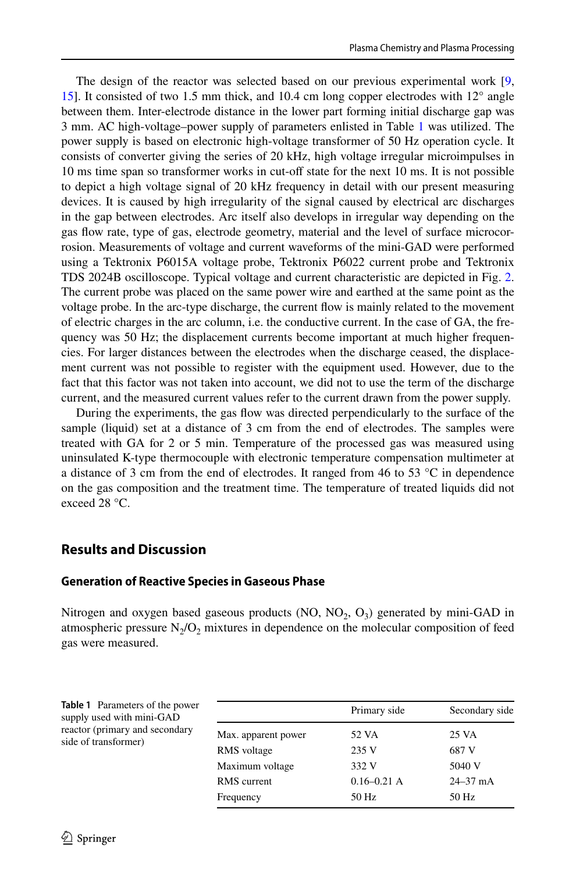The design of the reactor was selected based on our previous experimental work [\[9](#page-13-8), [15](#page-13-6)]. It consisted of two 1.5 mm thick, and 10.4 cm long copper electrodes with 12° angle between them. Inter-electrode distance in the lower part forming initial discharge gap was 3 mm. AC high-voltage–power supply of parameters enlisted in Table [1](#page-3-0) was utilized. The power supply is based on electronic high-voltage transformer of 50 Hz operation cycle. It consists of converter giving the series of 20 kHz, high voltage irregular microimpulses in 10 ms time span so transformer works in cut-off state for the next 10 ms. It is not possible to depict a high voltage signal of 20 kHz frequency in detail with our present measuring devices. It is caused by high irregularity of the signal caused by electrical arc discharges in the gap between electrodes. Arc itself also develops in irregular way depending on the gas fow rate, type of gas, electrode geometry, material and the level of surface microcorrosion. Measurements of voltage and current waveforms of the mini-GAD were performed using a Tektronix P6015A voltage probe, Tektronix P6022 current probe and Tektronix TDS 2024B oscilloscope. Typical voltage and current characteristic are depicted in Fig. [2](#page-4-0). The current probe was placed on the same power wire and earthed at the same point as the voltage probe. In the arc-type discharge, the current fow is mainly related to the movement of electric charges in the arc column, i.e. the conductive current. In the case of GA, the frequency was 50 Hz; the displacement currents become important at much higher frequencies. For larger distances between the electrodes when the discharge ceased, the displacement current was not possible to register with the equipment used. However, due to the fact that this factor was not taken into account, we did not to use the term of the discharge current, and the measured current values refer to the current drawn from the power supply.

During the experiments, the gas fow was directed perpendicularly to the surface of the sample (liquid) set at a distance of 3 cm from the end of electrodes. The samples were treated with GA for 2 or 5 min. Temperature of the processed gas was measured using uninsulated K-type thermocouple with electronic temperature compensation multimeter at a distance of 3 cm from the end of electrodes. It ranged from 46 to 53  $^{\circ}$ C in dependence on the gas composition and the treatment time. The temperature of treated liquids did not exceed 28 °C.

# **Results and Discussion**

### **Generation of Reactive Species in Gaseous Phase**

Nitrogen and oxygen based gaseous products (NO,  $NO<sub>2</sub>$ ,  $O<sub>3</sub>$ ) generated by mini-GAD in atmospheric pressure  $N_2/O_2$  mixtures in dependence on the molecular composition of feed gas were measured.

<span id="page-3-0"></span>

| <b>Table 1</b> Parameters of the power<br>supply used with mini-GAD<br>reactor (primary and secondary<br>side of transformer) |                     | Primary side    | Secondary side |  |
|-------------------------------------------------------------------------------------------------------------------------------|---------------------|-----------------|----------------|--|
|                                                                                                                               | Max. apparent power | 52 VA           | 25 VA          |  |
|                                                                                                                               | RMS voltage         | 235 V           | 687 V          |  |
|                                                                                                                               | Maximum voltage     | 332 V           | 5040 V         |  |
|                                                                                                                               | RMS current         | $0.16 - 0.21$ A | $24 - 37$ mA   |  |
|                                                                                                                               | Frequency           | 50 Hz           | 50 Hz          |  |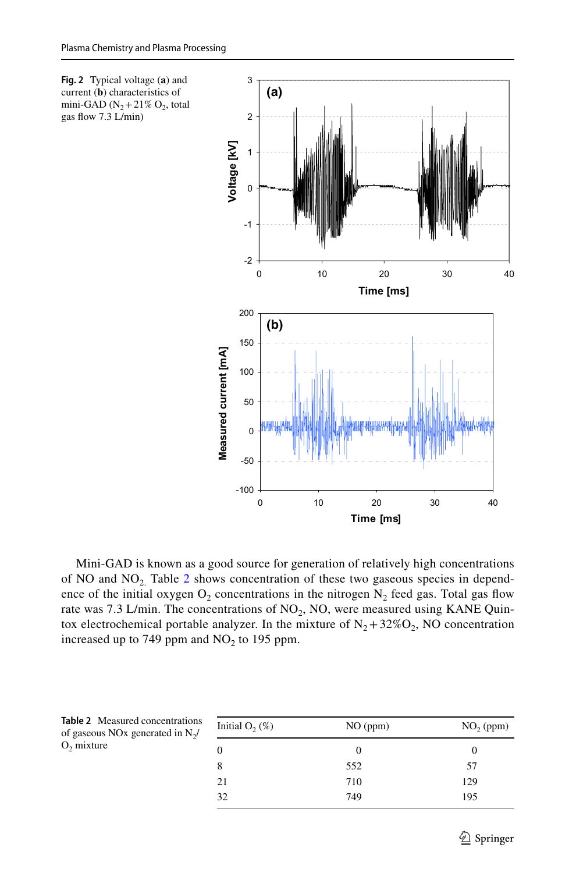gas flow 7.3 L/min)

<span id="page-4-0"></span>

Mini-GAD is known as a good source for generation of relatively high concentrations of NO and  $NO<sub>2</sub>$ . Table [2](#page-4-1) shows concentration of these two gaseous species in dependence of the initial oxygen  $O_2$  concentrations in the nitrogen  $N_2$  feed gas. Total gas flow rate was 7.3 L/min. The concentrations of  $NO<sub>2</sub>$ , NO, were measured using KANE Quintox electrochemical portable analyzer. In the mixture of  $N_2 + 32\%O_2$ , NO concentration increased up to 749 ppm and  $NO<sub>2</sub>$  to 195 ppm.

<span id="page-4-1"></span>

| Table 2 Measured concentrations<br>of gaseous NO <sub>x</sub> generated in N <sub>2</sub> / | Initial $O_2(\%)$<br>NO (ppm) |     | $NO2$ (ppm) |  |
|---------------------------------------------------------------------------------------------|-------------------------------|-----|-------------|--|
| $O2$ mixture                                                                                |                               |     |             |  |
|                                                                                             |                               | 552 | 57          |  |
|                                                                                             | 21                            | 710 | 129         |  |
|                                                                                             | 32                            | 749 | 195         |  |
|                                                                                             |                               |     |             |  |

|              | <b>Table 2</b> Measured concentration |  |
|--------------|---------------------------------------|--|
|              | of gaseous NOx generated in $N_2$ /   |  |
| $O2$ mixture |                                       |  |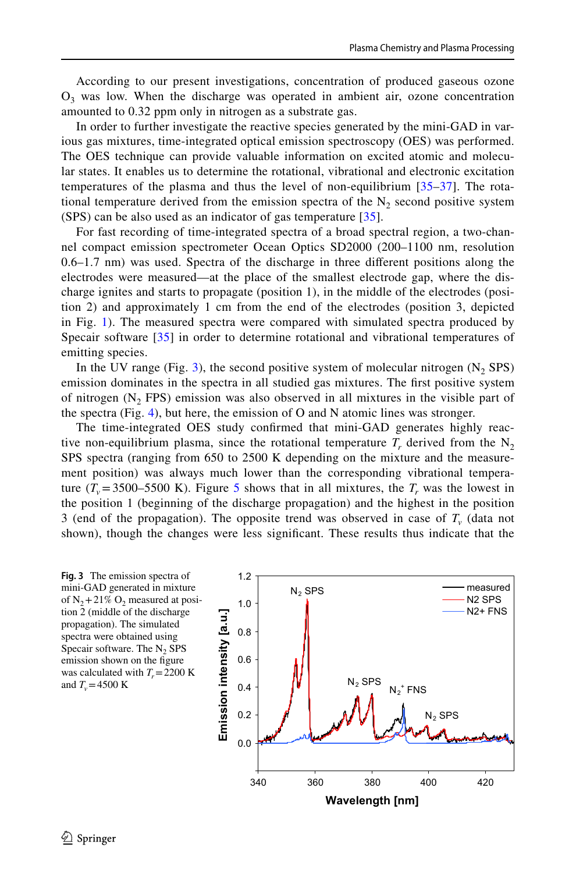According to our present investigations, concentration of produced gaseous ozone  $O<sub>3</sub>$  was low. When the discharge was operated in ambient air, ozone concentration amounted to 0.32 ppm only in nitrogen as a substrate gas.

In order to further investigate the reactive species generated by the mini-GAD in various gas mixtures, time-integrated optical emission spectroscopy (OES) was performed. The OES technique can provide valuable information on excited atomic and molecular states. It enables us to determine the rotational, vibrational and electronic excitation temperatures of the plasma and thus the level of non-equilibrium [[35–](#page-14-16)[37](#page-14-17)]. The rotational temperature derived from the emission spectra of the  $N<sub>2</sub>$  second positive system (SPS) can be also used as an indicator of gas temperature [\[35](#page-14-16)].

For fast recording of time-integrated spectra of a broad spectral region, a two-channel compact emission spectrometer Ocean Optics SD2000 (200–1100 nm, resolution 0.6–1.7 nm) was used. Spectra of the discharge in three diferent positions along the electrodes were measured—at the place of the smallest electrode gap, where the discharge ignites and starts to propagate (position 1), in the middle of the electrodes (position 2) and approximately 1 cm from the end of the electrodes (position 3, depicted in Fig. [1](#page-2-0)). The measured spectra were compared with simulated spectra produced by Specair software [[35\]](#page-14-16) in order to determine rotational and vibrational temperatures of emitting species.

In the UV range (Fig. [3\)](#page-5-0), the second positive system of molecular nitrogen  $(N, SPS)$ emission dominates in the spectra in all studied gas mixtures. The frst positive system of nitrogen  $(N_2$  FPS) emission was also observed in all mixtures in the visible part of the spectra (Fig. [4\)](#page-6-0), but here, the emission of O and N atomic lines was stronger.

The time-integrated OES study confrmed that mini-GAD generates highly reactive non-equilibrium plasma, since the rotational temperature  $T_r$  derived from the N<sub>2</sub> SPS spectra (ranging from 650 to 2500 K depending on the mixture and the measurement position) was always much lower than the corresponding vibrational temperature  $(T_v=3500-5500 \text{ K})$  $(T_v=3500-5500 \text{ K})$  $(T_v=3500-5500 \text{ K})$ . Figure 5 shows that in all mixtures, the  $T_r$  was the lowest in the position 1 (beginning of the discharge propagation) and the highest in the position 3 (end of the propagation). The opposite trend was observed in case of  $T<sub>v</sub>$  (data not shown), though the changes were less signifcant. These results thus indicate that the

<span id="page-5-0"></span>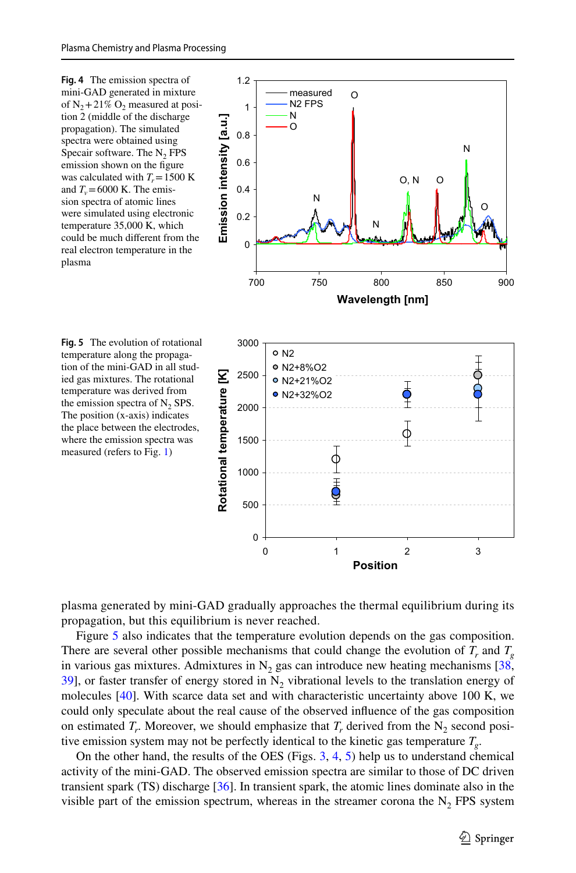<span id="page-6-0"></span>

<span id="page-6-1"></span>



**Position**

plasma generated by mini-GAD gradually approaches the thermal equilibrium during its propagation, but this equilibrium is never reached.

Figure [5](#page-6-1) also indicates that the temperature evolution depends on the gas composition. There are several other possible mechanisms that could change the evolution of  $T<sub>r</sub>$  and  $T<sub>g</sub>$ in various gas mixtures. Admixtures in  $N_2$  gas can introduce new heating mechanisms [[38](#page-14-18), [39](#page-15-0)], or faster transfer of energy stored in  $N_2$  vibrational levels to the translation energy of molecules  $[40]$ . With scarce data set and with characteristic uncertainty above 100 K, we could only speculate about the real cause of the observed infuence of the gas composition on estimated  $T_r$ . Moreover, we should emphasize that  $T_r$  derived from the N<sub>2</sub> second positive emission system may not be perfectly identical to the kinetic gas temperature *Tg*.

On the other hand, the results of the OES (Figs. [3,](#page-5-0) [4](#page-6-0), [5](#page-6-1)) help us to understand chemical activity of the mini-GAD. The observed emission spectra are similar to those of DC driven transient spark (TS) discharge [[36](#page-14-19)]. In transient spark, the atomic lines dominate also in the visible part of the emission spectrum, whereas in the streamer corona the  $N_2$  FPS system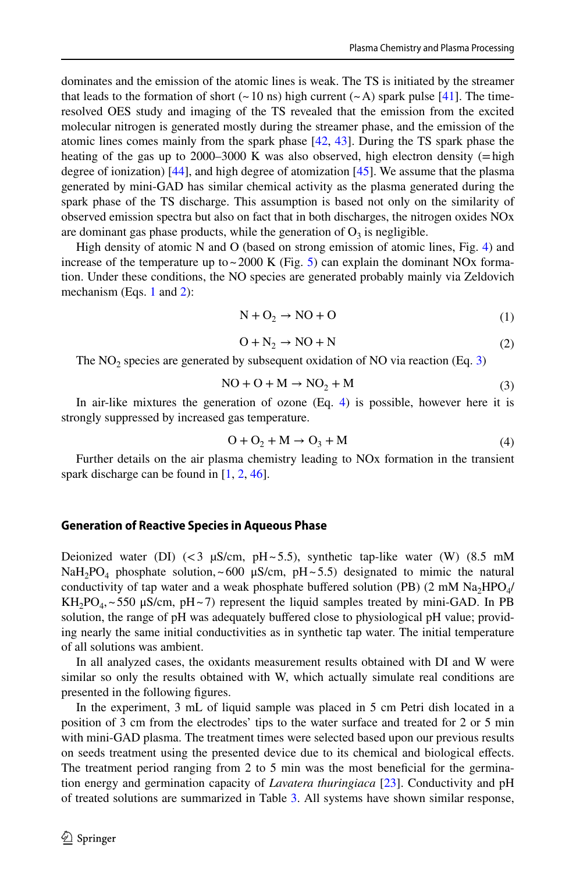dominates and the emission of the atomic lines is weak. The TS is initiated by the streamer that leads to the formation of short ( $\sim$  10 ns) high current ( $\sim$  A) spark pulse [[41](#page-15-2)]. The timeresolved OES study and imaging of the TS revealed that the emission from the excited molecular nitrogen is generated mostly during the streamer phase, and the emission of the atomic lines comes mainly from the spark phase [[42](#page-15-3), [43](#page-15-4)]. During the TS spark phase the heating of the gas up to 2000–3000 K was also observed, high electron density ( $=$ high degree of ionization) [\[44\]](#page-15-5), and high degree of atomization [\[45\]](#page-15-6). We assume that the plasma generated by mini-GAD has similar chemical activity as the plasma generated during the spark phase of the TS discharge. This assumption is based not only on the similarity of observed emission spectra but also on fact that in both discharges, the nitrogen oxides NOx are dominant gas phase products, while the generation of  $O_3$  is negligible.

High density of atomic N and O (based on strong emission of atomic lines, Fig. [4\)](#page-6-0) and increase of the temperature up to  $\sim$  2000 K (Fig. [5](#page-6-1)) can explain the dominant NOx formation. Under these conditions, the NO species are generated probably mainly via Zeldovich mechanism (Eqs. [1](#page-7-0) and [2](#page-7-1)):

<span id="page-7-1"></span><span id="page-7-0"></span>
$$
N + O_2 \rightarrow NO + O \tag{1}
$$

<span id="page-7-2"></span>
$$
O + N_2 \rightarrow NO + N \tag{2}
$$

The  $NO<sub>2</sub>$  species are generated by subsequent oxidation of  $NO$  via reaction (Eq. [3](#page-7-2))

$$
NO + O + M \rightarrow NO_2 + M \tag{3}
$$

In air-like mixtures the generation of ozone (Eq. [4\)](#page-7-3) is possible, however here it is strongly suppressed by increased gas temperature.

<span id="page-7-3"></span>
$$
O + O_2 + M \rightarrow O_3 + M \tag{4}
$$

Further details on the air plasma chemistry leading to NOx formation in the transient spark discharge can be found in  $[1, 2, 46]$  $[1, 2, 46]$  $[1, 2, 46]$  $[1, 2, 46]$  $[1, 2, 46]$ .

#### **Generation of Reactive Species in Aqueous Phase**

Deionized water (DI) (<3  $\mu$ S/cm, pH ~ 5.5), synthetic tap-like water (W) (8.5 mM NaH<sub>2</sub>PO<sub>4</sub> phosphate solution, ~600  $\mu$ S/cm, pH~5.5) designated to mimic the natural conductivity of tap water and a weak phosphate buffered solution (PB)  $(2 \text{ mM } Na<sub>2</sub>HPO<sub>4</sub>/$  $KH_2PO_4,~550 \mu S/cm$ , pH $\sim$ 7) represent the liquid samples treated by mini-GAD. In PB solution, the range of pH was adequately bufered close to physiological pH value; providing nearly the same initial conductivities as in synthetic tap water. The initial temperature of all solutions was ambient.

In all analyzed cases, the oxidants measurement results obtained with DI and W were similar so only the results obtained with W, which actually simulate real conditions are presented in the following fgures.

In the experiment, 3 mL of liquid sample was placed in 5 cm Petri dish located in a position of 3 cm from the electrodes' tips to the water surface and treated for 2 or 5 min with mini-GAD plasma. The treatment times were selected based upon our previous results on seeds treatment using the presented device due to its chemical and biological efects. The treatment period ranging from 2 to 5 min was the most benefcial for the germination energy and germination capacity of *Lavatera thuringiaca* [\[23\]](#page-14-6). Conductivity and pH of treated solutions are summarized in Table [3.](#page-8-0) All systems have shown similar response,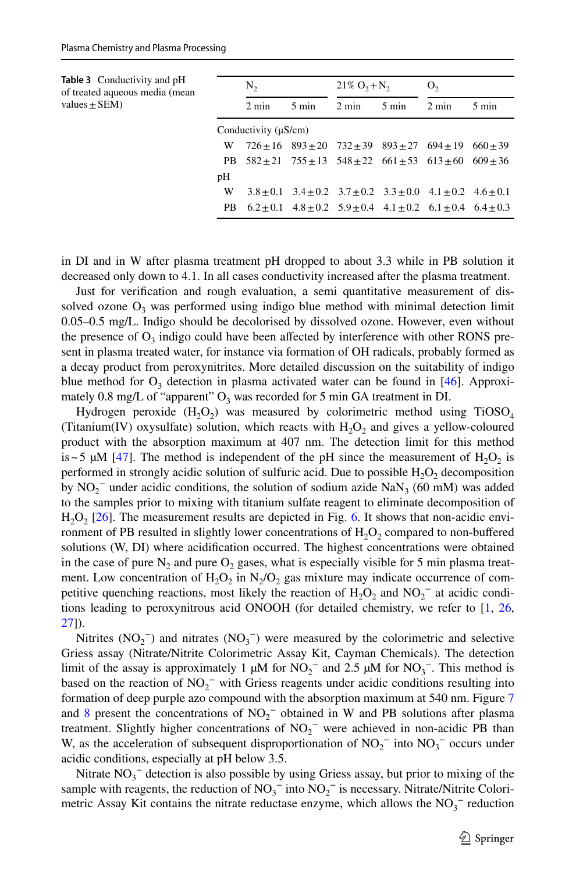<span id="page-8-0"></span>

| <b>Table 3</b> Conductivity and pH<br>of treated aqueous media (mean<br>values $\pm$ SEM) | $N_{2}$                   |                 | $21\% O_2 + N_2$                                                                    |                 | О,              |                 |                 |
|-------------------------------------------------------------------------------------------|---------------------------|-----------------|-------------------------------------------------------------------------------------|-----------------|-----------------|-----------------|-----------------|
|                                                                                           |                           | $2 \text{ min}$ | $5 \text{ min}$                                                                     | $2 \text{ min}$ | $5 \text{ min}$ | $2 \text{ min}$ | $5 \text{ min}$ |
|                                                                                           | Conductivity $(\mu S/cm)$ |                 |                                                                                     |                 |                 |                 |                 |
|                                                                                           | W                         |                 | $726+16$ $893+20$ $732+39$ $893+27$ $694+19$                                        |                 |                 |                 | $660+39$        |
|                                                                                           | PB.                       |                 | $582 \pm 21$ $755 \pm 13$ $548 \pm 22$ $661 \pm 53$ $613 \pm 60$ $609 \pm 36$       |                 |                 |                 |                 |
|                                                                                           | pH                        |                 |                                                                                     |                 |                 |                 |                 |
|                                                                                           | W                         |                 | $3.8 \pm 0.1$ $3.4 \pm 0.2$ $3.7 \pm 0.2$ $3.3 \pm 0.0$ $4.1 \pm 0.2$ $4.6 \pm 0.1$ |                 |                 |                 |                 |
|                                                                                           | PB.                       |                 | $6.2 \pm 0.1$ $4.8 \pm 0.2$ $5.9 \pm 0.4$ $4.1 \pm 0.2$ $6.1 \pm 0.4$ $6.4 \pm 0.3$ |                 |                 |                 |                 |

in DI and in W after plasma treatment pH dropped to about 3.3 while in PB solution it decreased only down to 4.1. In all cases conductivity increased after the plasma treatment.

Just for verifcation and rough evaluation, a semi quantitative measurement of dissolved ozone  $O_3$  was performed using indigo blue method with minimal detection limit 0.05–0.5 mg/L. Indigo should be decolorised by dissolved ozone. However, even without the presence of  $O_3$  indigo could have been affected by interference with other RONS present in plasma treated water, for instance via formation of OH radicals, probably formed as a decay product from peroxynitrites. More detailed discussion on the suitability of indigo blue method for  $O_3$  detection in plasma activated water can be found in [\[46\]](#page-15-7). Approximately 0.8 mg/L of "apparent"  $O_3$  was recorded for 5 min GA treatment in DI.

Hydrogen peroxide  $(H_2O_2)$  was measured by colorimetric method using TiOSO<sub>4</sub> (Titanium(IV) oxysulfate) solution, which reacts with  $H_2O_2$  and gives a yellow-coloured product with the absorption maximum at 407 nm. The detection limit for this method is~5  $\mu$ M [[47](#page-15-8)]. The method is independent of the pH since the measurement of H<sub>2</sub>O<sub>2</sub> is performed in strongly acidic solution of sulfuric acid. Due to possible  $H_2O_2$  decomposition by  $NO_2^-$  under acidic conditions, the solution of sodium azide  $NaN_3$  (60 mM) was added to the samples prior to mixing with titanium sulfate reagent to eliminate decomposition of  $H<sub>2</sub>O<sub>2</sub>$  [\[26\]](#page-14-8). The measurement results are depicted in Fig. [6.](#page-9-0) It shows that non-acidic environment of PB resulted in slightly lower concentrations of  $H_2O_2$  compared to non-buffered solutions (W, DI) where acidifcation occurred. The highest concentrations were obtained in the case of pure  $N_2$  and pure  $O_2$  gases, what is especially visible for 5 min plasma treatment. Low concentration of  $H_2O_2$  in  $N_2/O_2$  gas mixture may indicate occurrence of competitive quenching reactions, most likely the reaction of  $H_2O_2$  and  $NO_2^-$  at acidic conditions leading to peroxynitrous acid ONOOH (for detailed chemistry, we refer to [[1,](#page-13-0) [26](#page-14-8), [27](#page-14-20)]).

Nitrites  $(NO<sub>2</sub><sup>-</sup>)$  and nitrates  $(NO<sub>3</sub><sup>-</sup>)$  were measured by the colorimetric and selective Griess assay (Nitrate/Nitrite Colorimetric Assay Kit, Cayman Chemicals). The detection limit of the assay is approximately 1  $\mu$ M for NO<sub>2</sub><sup>-</sup> and 2.5  $\mu$ M for NO<sub>3</sub><sup>-</sup>. This method is based on the reaction of  $NO_2^-$  with Griess reagents under acidic conditions resulting into formation of deep purple azo compound with the absorption maximum at 540 nm. Figure [7](#page-10-0) and [8](#page-10-1) present the concentrations of  $NO_2^-$  obtained in W and PB solutions after plasma treatment. Slightly higher concentrations of  $NO_2^-$  were achieved in non-acidic PB than W, as the acceleration of subsequent disproportionation of  $NO_2^-$  into  $NO_3^-$  occurs under acidic conditions, especially at pH below 3.5.

Nitrate  $NO<sub>3</sub><sup>-</sup>$  detection is also possible by using Griess assay, but prior to mixing of the sample with reagents, the reduction of  $NO_3^-$  into  $NO_2^-$  is necessary. Nitrate/Nitrite Colorimetric Assay Kit contains the nitrate reductase enzyme, which allows the  $NO<sub>3</sub><sup>-</sup>$  reduction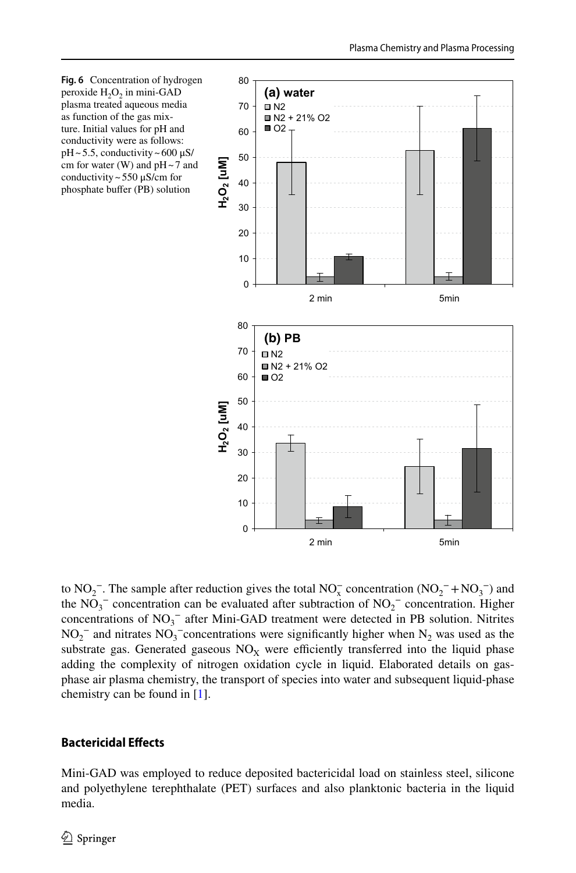<span id="page-9-0"></span>

to  $NO_2^-$ . The sample after reduction gives the total  $NO_x^-$  concentration  $(NO_2^- + NO_3^-)$  and the  $NO_3^-$  concentration can be evaluated after subtraction of  $NO_2^-$  concentration. Higher concentrations of  $NO<sub>3</sub><sup>-</sup>$  after Mini-GAD treatment were detected in PB solution. Nitrites  $NO_2^-$  and nitrates  $NO_3^-$ concentrations were significantly higher when  $N_2$  was used as the substrate gas. Generated gaseous  $NO<sub>x</sub>$  were efficiently transferred into the liquid phase adding the complexity of nitrogen oxidation cycle in liquid. Elaborated details on gasphase air plasma chemistry, the transport of species into water and subsequent liquid-phase chemistry can be found in [[1](#page-13-0)].

# **Bactericidal Efects**

Mini-GAD was employed to reduce deposited bactericidal load on stainless steel, silicone and polyethylene terephthalate (PET) surfaces and also planktonic bacteria in the liquid media.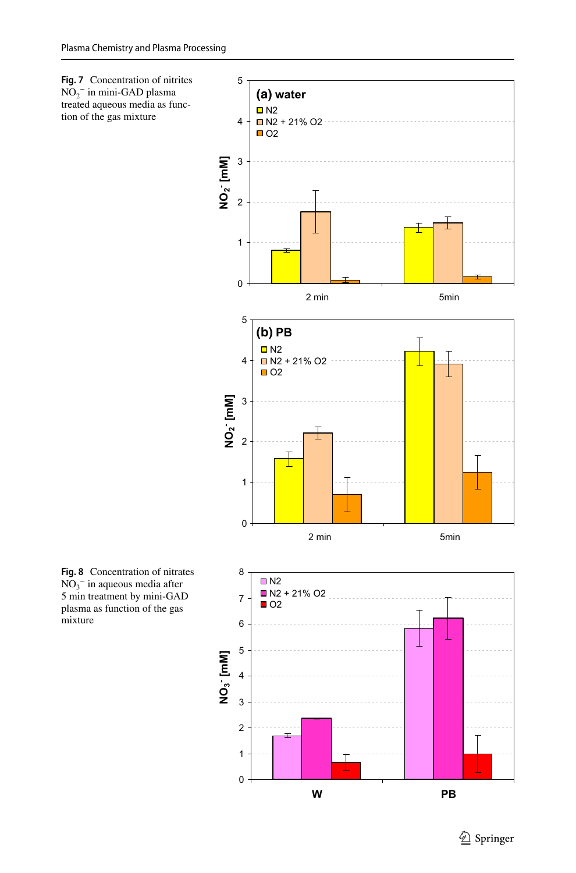<span id="page-10-0"></span>

<span id="page-10-1"></span>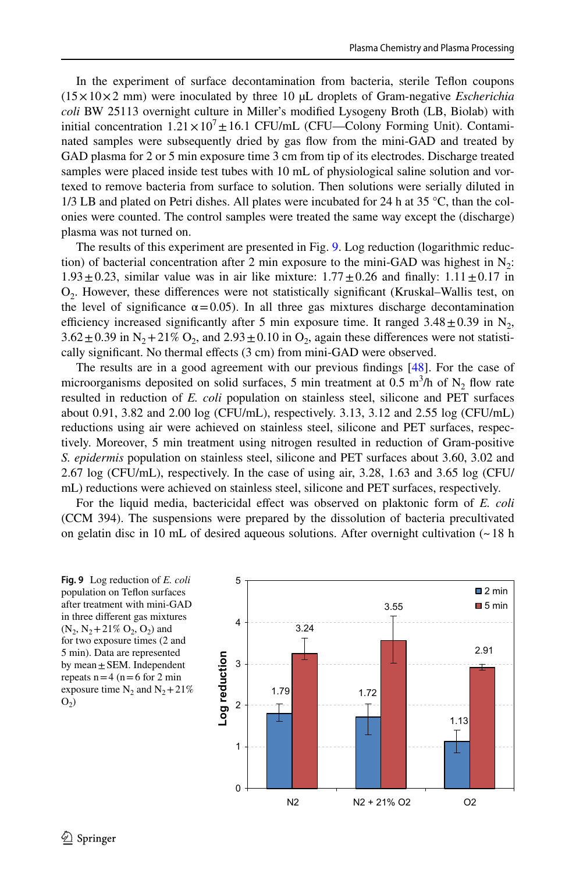In the experiment of surface decontamination from bacteria, sterile Tefon coupons (15×10×2 mm) were inoculated by three 10 µL droplets of Gram-negative *Escherichia coli* BW 25113 overnight culture in Miller's modifed Lysogeny Broth (LB, Biolab) with initial concentration  $1.21 \times 10^7 \pm 16.1$  CFU/mL (CFU—Colony Forming Unit). Contaminated samples were subsequently dried by gas fow from the mini-GAD and treated by GAD plasma for 2 or 5 min exposure time 3 cm from tip of its electrodes. Discharge treated samples were placed inside test tubes with 10 mL of physiological saline solution and vortexed to remove bacteria from surface to solution. Then solutions were serially diluted in  $1/3$  LB and plated on Petri dishes. All plates were incubated for 24 h at 35 °C, than the colonies were counted. The control samples were treated the same way except the (discharge) plasma was not turned on.

The results of this experiment are presented in Fig. [9](#page-11-0). Log reduction (logarithmic reduction) of bacterial concentration after 2 min exposure to the mini-GAD was highest in  $N_2$ :  $1.93 \pm 0.23$ , similar value was in air like mixture:  $1.77 \pm 0.26$  and finally:  $1.11 \pm 0.17$  in O2. However, these diferences were not statistically signifcant (Kruskal–Wallis test, on the level of significance  $\alpha = 0.05$ ). In all three gas mixtures discharge decontamination efficiency increased significantly after 5 min exposure time. It ranged  $3.48 \pm 0.39$  in N<sub>2</sub>,  $3.62 \pm 0.39$  in N<sub>2</sub>+21% O<sub>2</sub>, and  $2.93 \pm 0.10$  in O<sub>2</sub>, again these differences were not statistically significant. No thermal effects (3 cm) from mini-GAD were observed.

The results are in a good agreement with our previous fndings [\[48\]](#page-15-9). For the case of microorganisms deposited on solid surfaces, 5 min treatment at 0.5 m<sup>3</sup>/h of  $N_2$  flow rate resulted in reduction of *E. coli* population on stainless steel, silicone and PET surfaces about 0.91, 3.82 and 2.00 log (CFU/mL), respectively. 3.13, 3.12 and 2.55 log (CFU/mL) reductions using air were achieved on stainless steel, silicone and PET surfaces, respectively. Moreover, 5 min treatment using nitrogen resulted in reduction of Gram-positive *S. epidermis* population on stainless steel, silicone and PET surfaces about 3.60, 3.02 and 2.67 log (CFU/mL), respectively. In the case of using air, 3.28, 1.63 and 3.65 log (CFU/ mL) reductions were achieved on stainless steel, silicone and PET surfaces, respectively.

For the liquid media, bactericidal effect was observed on plaktonic form of *E. coli* (CCM 394). The suspensions were prepared by the dissolution of bacteria precultivated on gelatin disc in 10 mL of desired aqueous solutions. After overnight cultivation (~18 h

<span id="page-11-0"></span>**Fig. 9** Log reduction of *E. coli* population on Teflon surfaces after treatment with mini-GAD in three diferent gas mixtures  $(N_2, N_2+21\% O_2, O_2)$  and for two exposure times (2 and 5 min). Data are represented by mean $\pm$ SEM. Independent repeats  $n=4$  ( $n=6$  for 2 min exposure time  $N_2$  and  $N_2+21%$  $O<sub>2</sub>$ )

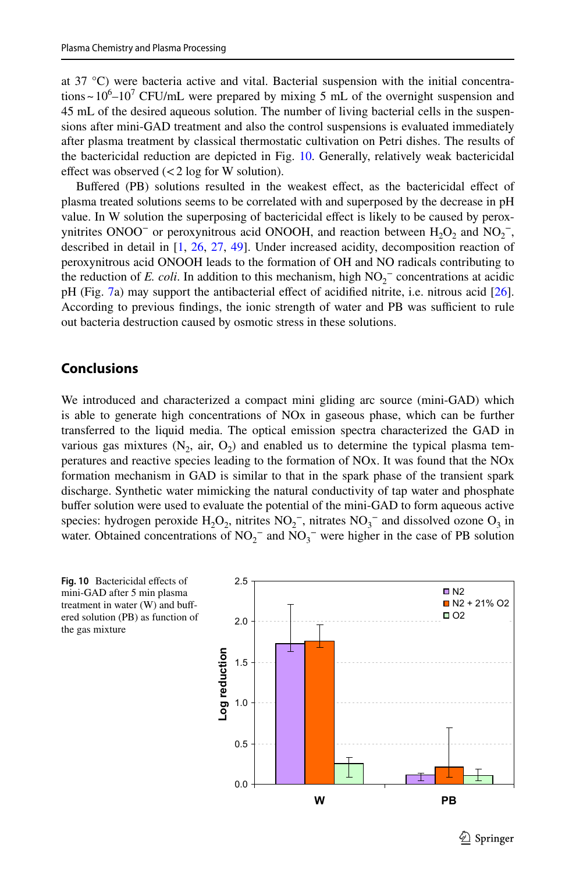at 37 °C) were bacteria active and vital. Bacterial suspension with the initial concentrations ~  $10^6$ – $10^7$  CFU/mL were prepared by mixing 5 mL of the overnight suspension and 45 mL of the desired aqueous solution. The number of living bacterial cells in the suspensions after mini-GAD treatment and also the control suspensions is evaluated immediately after plasma treatment by classical thermostatic cultivation on Petri dishes. The results of the bactericidal reduction are depicted in Fig. [10.](#page-12-0) Generally, relatively weak bactericidal effect was observed  $\left($  < 2 log for W solution).

Bufered (PB) solutions resulted in the weakest efect, as the bactericidal efect of plasma treated solutions seems to be correlated with and superposed by the decrease in pH value. In W solution the superposing of bactericidal effect is likely to be caused by peroxynitrites ONOO<sup>-</sup> or peroxynitrous acid ONOOH, and reaction between  $H_2O_2$  and  $NO_2^-$ , described in detail in [[1](#page-13-0), [26](#page-14-8), [27,](#page-14-20) [49\]](#page-15-10). Under increased acidity, decomposition reaction of peroxynitrous acid ONOOH leads to the formation of OH and NO radicals contributing to the reduction of *E. coli*. In addition to this mechanism, high  $NO_2^-$  concentrations at acidic pH (Fig. [7](#page-10-0)a) may support the antibacterial efect of acidifed nitrite, i.e. nitrous acid [[26](#page-14-8)]. According to previous findings, the ionic strength of water and PB was sufficient to rule out bacteria destruction caused by osmotic stress in these solutions.

# **Conclusions**

We introduced and characterized a compact mini gliding arc source (mini-GAD) which is able to generate high concentrations of NOx in gaseous phase, which can be further transferred to the liquid media. The optical emission spectra characterized the GAD in various gas mixtures  $(N_2, \text{ air}, O_2)$  and enabled us to determine the typical plasma temperatures and reactive species leading to the formation of NOx. It was found that the NOx formation mechanism in GAD is similar to that in the spark phase of the transient spark discharge. Synthetic water mimicking the natural conductivity of tap water and phosphate buffer solution were used to evaluate the potential of the mini-GAD to form aqueous active species: hydrogen peroxide  $H_2O_2$ , nitrites  $NO_2^-$ , nitrates  $NO_3^-$  and dissolved ozone  $O_3$  in water. Obtained concentrations of  $NO_2^-$  and  $NO_3^-$  were higher in the case of PB solution

<span id="page-12-0"></span>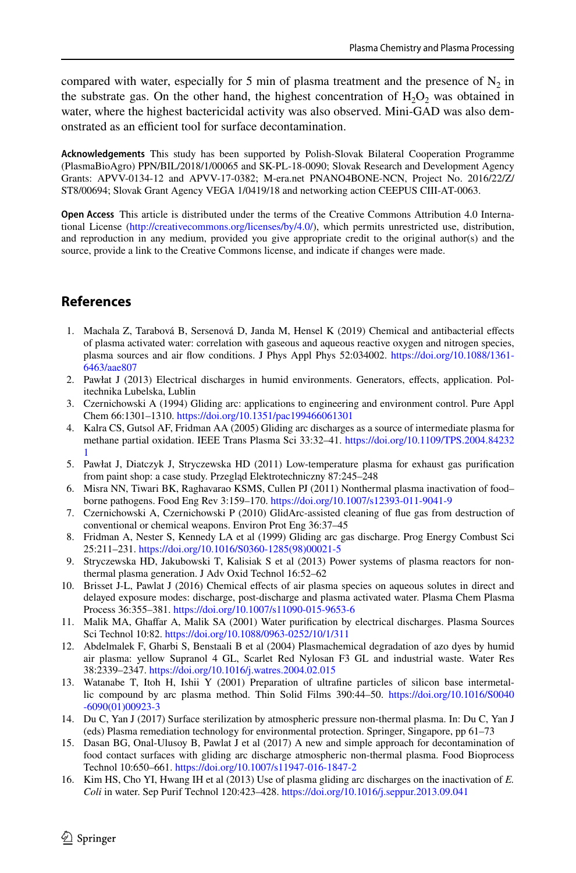compared with water, especially for 5 min of plasma treatment and the presence of  $N_2$  in the substrate gas. On the other hand, the highest concentration of  $H_2O_2$  was obtained in water, where the highest bactericidal activity was also observed. Mini-GAD was also demonstrated as an efficient tool for surface decontamination.

**Acknowledgements** This study has been supported by Polish-Slovak Bilateral Cooperation Programme (PlasmaBioAgro) PPN/BIL/2018/1/00065 and SK-PL-18-0090; Slovak Research and Development Agency Grants: APVV-0134-12 and APVV-17-0382; M-era.net PNANO4BONE-NCN, Project No. 2016/22/Z/ ST8/00694; Slovak Grant Agency VEGA 1/0419/18 and networking action CEEPUS CIII-AT-0063.

**Open Access** This article is distributed under the terms of the Creative Commons Attribution 4.0 International License ([http://creativecommons.org/licenses/by/4.0/\)](http://creativecommons.org/licenses/by/4.0/), which permits unrestricted use, distribution, and reproduction in any medium, provided you give appropriate credit to the original author(s) and the source, provide a link to the Creative Commons license, and indicate if changes were made.

# **References**

- <span id="page-13-0"></span>1. Machala Z, Tarabová B, Sersenová D, Janda M, Hensel K (2019) Chemical and antibacterial efects of plasma activated water: correlation with gaseous and aqueous reactive oxygen and nitrogen species, plasma sources and air fow conditions. J Phys Appl Phys 52:034002. [https://doi.org/10.1088/1361-](https://doi.org/10.1088/1361-6463/aae807) [6463/aae807](https://doi.org/10.1088/1361-6463/aae807)
- <span id="page-13-1"></span>2. Pawłat J (2013) Electrical discharges in humid environments. Generators, efects, application. Politechnika Lubelska, Lublin
- <span id="page-13-2"></span>3. Czernichowski A (1994) Gliding arc: applications to engineering and environment control. Pure Appl Chem 66:1301–1310.<https://doi.org/10.1351/pac199466061301>
- <span id="page-13-3"></span>4. Kalra CS, Gutsol AF, Fridman AA (2005) Gliding arc discharges as a source of intermediate plasma for methane partial oxidation. IEEE Trans Plasma Sci 33:32–41. [https://doi.org/10.1109/TPS.2004.84232](https://doi.org/10.1109/TPS.2004.842321) [1](https://doi.org/10.1109/TPS.2004.842321)
- 5. Pawłat J, Diatczyk J, Stryczewska HD (2011) Low-temperature plasma for exhaust gas purifcation from paint shop: a case study. Przegląd Elektrotechniczny 87:245–248
- 6. Misra NN, Tiwari BK, Raghavarao KSMS, Cullen PJ (2011) Nonthermal plasma inactivation of food– borne pathogens. Food Eng Rev 3:159–170. <https://doi.org/10.1007/s12393-011-9041-9>
- 7. Czernichowski A, Czernichowski P (2010) GlidArc-assisted cleaning of fue gas from destruction of conventional or chemical weapons. Environ Prot Eng 36:37–45
- 8. Fridman A, Nester S, Kennedy LA et al (1999) Gliding arc gas discharge. Prog Energy Combust Sci 25:211–231. [https://doi.org/10.1016/S0360-1285\(98\)00021-5](https://doi.org/10.1016/S0360-1285(98)00021-5)
- <span id="page-13-8"></span>9. Stryczewska HD, Jakubowski T, Kalisiak S et al (2013) Power systems of plasma reactors for nonthermal plasma generation. J Adv Oxid Technol 16:52–62
- 10. Brisset J-L, Pawlat J (2016) Chemical efects of air plasma species on aqueous solutes in direct and delayed exposure modes: discharge, post-discharge and plasma activated water. Plasma Chem Plasma Process 36:355–381.<https://doi.org/10.1007/s11090-015-9653-6>
- 11. Malik MA, Ghafar A, Malik SA (2001) Water purifcation by electrical discharges. Plasma Sources Sci Technol 10:82. <https://doi.org/10.1088/0963-0252/10/1/311>
- 12. Abdelmalek F, Gharbi S, Benstaali B et al (2004) Plasmachemical degradation of azo dyes by humid air plasma: yellow Supranol 4 GL, Scarlet Red Nylosan F3 GL and industrial waste. Water Res 38:2339–2347.<https://doi.org/10.1016/j.watres.2004.02.015>
- <span id="page-13-4"></span>13. Watanabe T, Itoh H, Ishii Y (2001) Preparation of ultrafne particles of silicon base intermetallic compound by arc plasma method. Thin Solid Films 390:44–50. [https://doi.org/10.1016/S0040](https://doi.org/10.1016/S0040-6090(01)00923-3) [-6090\(01\)00923-3](https://doi.org/10.1016/S0040-6090(01)00923-3)
- <span id="page-13-5"></span>14. Du C, Yan J (2017) Surface sterilization by atmospheric pressure non-thermal plasma. In: Du C, Yan J (eds) Plasma remediation technology for environmental protection. Springer, Singapore, pp 61–73
- <span id="page-13-6"></span>15. Dasan BG, Onal-Ulusoy B, Pawlat J et al (2017) A new and simple approach for decontamination of food contact surfaces with gliding arc discharge atmospheric non-thermal plasma. Food Bioprocess Technol 10:650–661. <https://doi.org/10.1007/s11947-016-1847-2>
- <span id="page-13-7"></span>16. Kim HS, Cho YI, Hwang IH et al (2013) Use of plasma gliding arc discharges on the inactivation of *E. Coli* in water. Sep Purif Technol 120:423–428.<https://doi.org/10.1016/j.seppur.2013.09.041>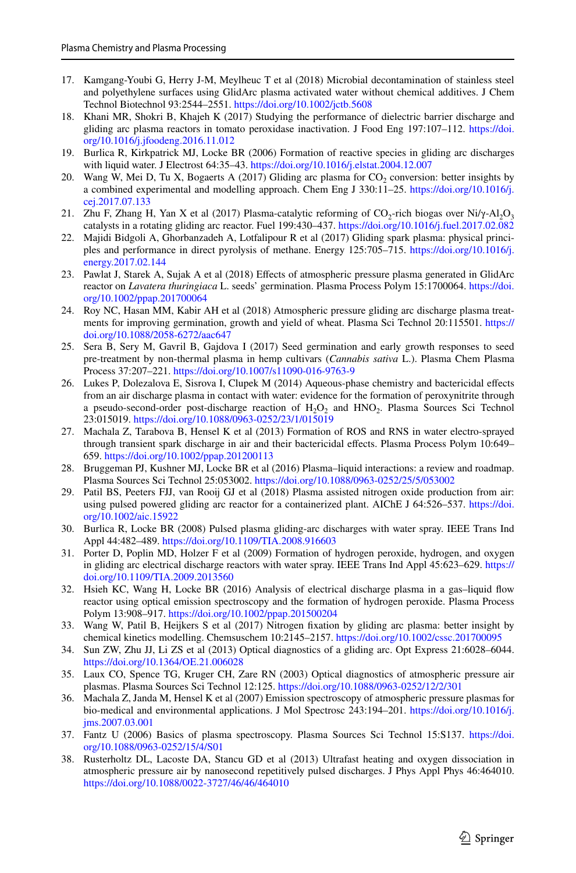- <span id="page-14-0"></span>17. Kamgang-Youbi G, Herry J-M, Meylheuc T et al (2018) Microbial decontamination of stainless steel and polyethylene surfaces using GlidArc plasma activated water without chemical additives. J Chem Technol Biotechnol 93:2544–2551. <https://doi.org/10.1002/jctb.5608>
- <span id="page-14-1"></span>18. Khani MR, Shokri B, Khajeh K (2017) Studying the performance of dielectric barrier discharge and gliding arc plasma reactors in tomato peroxidase inactivation. J Food Eng 197:107–112. [https://doi.](https://doi.org/10.1016/j.jfoodeng.2016.11.012) [org/10.1016/j.jfoodeng.2016.11.012](https://doi.org/10.1016/j.jfoodeng.2016.11.012)
- <span id="page-14-2"></span>19. Burlica R, Kirkpatrick MJ, Locke BR (2006) Formation of reactive species in gliding arc discharges with liquid water. J Electrost 64:35–43.<https://doi.org/10.1016/j.elstat.2004.12.007>
- <span id="page-14-3"></span>20. Wang W, Mei D, Tu X, Bogaerts A (2017) Gliding arc plasma for  $CO<sub>2</sub>$  conversion: better insights by a combined experimental and modelling approach. Chem Eng J 330:11–25. [https://doi.org/10.1016/j.](https://doi.org/10.1016/j.cej.2017.07.133) [cej.2017.07.133](https://doi.org/10.1016/j.cej.2017.07.133)
- <span id="page-14-4"></span>21. Zhu F, Zhang H, Yan X et al (2017) Plasma-catalytic reforming of  $CO_2$ -rich biogas over Ni/ $\gamma$ -Al<sub>2</sub>O<sub>3</sub> catalysts in a rotating gliding arc reactor. Fuel 199:430–437.<https://doi.org/10.1016/j.fuel.2017.02.082>
- <span id="page-14-5"></span>22. Majidi Bidgoli A, Ghorbanzadeh A, Lotfalipour R et al (2017) Gliding spark plasma: physical principles and performance in direct pyrolysis of methane. Energy 125:705–715. [https://doi.org/10.1016/j.](https://doi.org/10.1016/j.energy.2017.02.144) [energy.2017.02.144](https://doi.org/10.1016/j.energy.2017.02.144)
- <span id="page-14-6"></span>23. Pawlat J, Starek A, Sujak A et al (2018) Efects of atmospheric pressure plasma generated in GlidArc reactor on *Lavatera thuringiaca* L. seeds' germination. Plasma Process Polym 15:1700064. [https://doi.](https://doi.org/10.1002/ppap.201700064) [org/10.1002/ppap.201700064](https://doi.org/10.1002/ppap.201700064)
- 24. Roy NC, Hasan MM, Kabir AH et al (2018) Atmospheric pressure gliding arc discharge plasma treatments for improving germination, growth and yield of wheat. Plasma Sci Technol 20:115501. [https://](https://doi.org/10.1088/2058-6272/aac647) [doi.org/10.1088/2058-6272/aac647](https://doi.org/10.1088/2058-6272/aac647)
- <span id="page-14-7"></span>25. Sera B, Sery M, Gavril B, Gajdova I (2017) Seed germination and early growth responses to seed pre-treatment by non-thermal plasma in hemp cultivars (*Cannabis sativa* L.). Plasma Chem Plasma Process 37:207–221.<https://doi.org/10.1007/s11090-016-9763-9>
- <span id="page-14-8"></span>26. Lukes P, Dolezalova E, Sisrova I, Clupek M (2014) Aqueous-phase chemistry and bactericidal efects from an air discharge plasma in contact with water: evidence for the formation of peroxynitrite through a pseudo-second-order post-discharge reaction of H<sub>2</sub>O<sub>2</sub> and HNO<sub>2</sub>. Plasma Sources Sci Technol 23:015019.<https://doi.org/10.1088/0963-0252/23/1/015019>
- <span id="page-14-20"></span>27. Machala Z, Tarabova B, Hensel K et al (2013) Formation of ROS and RNS in water electro-sprayed through transient spark discharge in air and their bactericidal efects. Plasma Process Polym 10:649– 659. <https://doi.org/10.1002/ppap.201200113>
- <span id="page-14-9"></span>28. Bruggeman PJ, Kushner MJ, Locke BR et al (2016) Plasma–liquid interactions: a review and roadmap. Plasma Sources Sci Technol 25:053002.<https://doi.org/10.1088/0963-0252/25/5/053002>
- <span id="page-14-10"></span>29. Patil BS, Peeters FJJ, van Rooij GJ et al (2018) Plasma assisted nitrogen oxide production from air: using pulsed powered gliding arc reactor for a containerized plant. AIChE J 64:526–537. [https://doi.](https://doi.org/10.1002/aic.15922) [org/10.1002/aic.15922](https://doi.org/10.1002/aic.15922)
- <span id="page-14-11"></span>30. Burlica R, Locke BR (2008) Pulsed plasma gliding-arc discharges with water spray. IEEE Trans Ind Appl 44:482–489.<https://doi.org/10.1109/TIA.2008.916603>
- <span id="page-14-12"></span>31. Porter D, Poplin MD, Holzer F et al (2009) Formation of hydrogen peroxide, hydrogen, and oxygen in gliding arc electrical discharge reactors with water spray. IEEE Trans Ind Appl 45:623–629. [https://](https://doi.org/10.1109/TIA.2009.2013560) [doi.org/10.1109/TIA.2009.2013560](https://doi.org/10.1109/TIA.2009.2013560)
- <span id="page-14-13"></span>32. Hsieh KC, Wang H, Locke BR (2016) Analysis of electrical discharge plasma in a gas–liquid fow reactor using optical emission spectroscopy and the formation of hydrogen peroxide. Plasma Process Polym 13:908–917. <https://doi.org/10.1002/ppap.201500204>
- <span id="page-14-14"></span>33. Wang W, Patil B, Heijkers S et al (2017) Nitrogen fxation by gliding arc plasma: better insight by chemical kinetics modelling. Chemsuschem 10:2145–2157. <https://doi.org/10.1002/cssc.201700095>
- <span id="page-14-15"></span>34. Sun ZW, Zhu JJ, Li ZS et al (2013) Optical diagnostics of a gliding arc. Opt Express 21:6028–6044. <https://doi.org/10.1364/OE.21.006028>
- <span id="page-14-16"></span>35. Laux CO, Spence TG, Kruger CH, Zare RN (2003) Optical diagnostics of atmospheric pressure air plasmas. Plasma Sources Sci Technol 12:125.<https://doi.org/10.1088/0963-0252/12/2/301>
- <span id="page-14-19"></span>36. Machala Z, Janda M, Hensel K et al (2007) Emission spectroscopy of atmospheric pressure plasmas for bio-medical and environmental applications. J Mol Spectrosc 243:194–201. [https://doi.org/10.1016/j.](https://doi.org/10.1016/j.jms.2007.03.001) [jms.2007.03.001](https://doi.org/10.1016/j.jms.2007.03.001)
- <span id="page-14-17"></span>37. Fantz U (2006) Basics of plasma spectroscopy. Plasma Sources Sci Technol 15:S137. [https://doi.](https://doi.org/10.1088/0963-0252/15/4/S01) [org/10.1088/0963-0252/15/4/S01](https://doi.org/10.1088/0963-0252/15/4/S01)
- <span id="page-14-18"></span>38. Rusterholtz DL, Lacoste DA, Stancu GD et al (2013) Ultrafast heating and oxygen dissociation in atmospheric pressure air by nanosecond repetitively pulsed discharges. J Phys Appl Phys 46:464010. <https://doi.org/10.1088/0022-3727/46/46/464010>